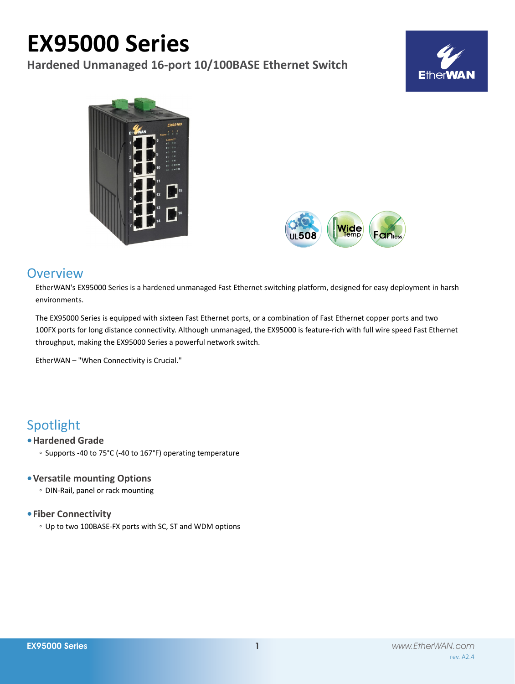# **EX95000 Series**

**Hardened Unmanaged 16-port 10/100BASE Ethernet Switch**







# **Overview**

EtherWAN's EX95000 Series is a hardened unmanaged Fast Ethernet switching platform, designed for easy deployment in harsh environments.

The EX95000 Series is equipped with sixteen Fast Ethernet ports, or a combination of Fast Ethernet copper ports and two 100FX ports for long distance connectivity. Although unmanaged, the EX95000 is feature-rich with full wire speed Fast Ethernet throughput, making the EX95000 Series a powerful network switch.

EtherWAN – "When Connectivity is Crucial."

# Spotlight

## **• Hardened Grade**

◦ Supports -40 to 75°C (-40 to 167°F) operating temperature

### **• Versatile mounting Options**

◦ DIN-Rail, panel or rack mounting

### **• Fiber Connectivity**

◦ Up to two 100BASE-FX ports with SC, ST and WDM options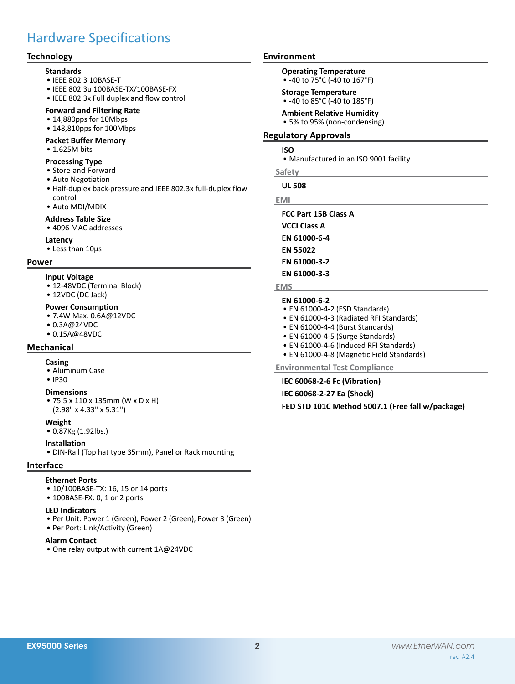# Hardware Specifications

### **Technology**

#### **Standards**

- • IEEE 802.3 10BASE-T
- • IEEE 802.3u 100BASE-TX/100BASE-FX
- • IEEE 802.3x Full duplex and flow control

### **Forward and Filtering Rate**

- 14,880pps for 10Mbps
- 148,810pps for 100Mbps

#### **Packet Buffer Memory**

• 1.625M bits

#### **Processing Type**

- • Store-and-Forward
- • Auto Negotiation
- Half-duplex back-pressure and IEEE 802.3x full-duplex flow control
- • Auto MDI/MDIX
- **Address Table Size**
- 4096 MAC addresses

#### **Latency**

• Less than 10μs

#### **Power**

#### **Input Voltage**

- 12-48VDC (Terminal Block)
- 12VDC (DC Jack)

#### **Power Consumption**

- • 7.4W Max. 0.6A@12VDC
- • 0.3A@24VDC
- • 0.15A@48VDC

### **Mechanical**

#### **Casing**

- • Aluminum Case
- • IP30

#### **Dimensions**

• 75.5 x 110 x 135mm (W x D x H) (2.98" x 4.33" x 5.31")

#### **Weight**

• 0.87Kg (1.92lbs.)

#### **Installation**

• DIN-Rail (Top hat type 35mm), Panel or Rack mounting

#### **Interface**

#### **Ethernet Ports**

- 10/100BASE-TX: 16, 15 or 14 ports
- 100BASE-FX: 0, 1 or 2 ports

#### **LED Indicators**

- • Per Unit: Power 1 (Green), Power 2 (Green), Power 3 (Green)
- Per Port: Link/Activity (Green)

#### **Alarm Contact**

• One relay output with current 1A@24VDC

#### **Environment**

- **Operating Temperature**
	- -40 to 75°C (-40 to 167°F)

#### **Storage Temperature**

- • -40 to 85°C (-40 to 185°F)
- **Ambient Relative Humidity**
- 5% to 95% (non-condensing)

#### **Regulatory Approvals**

#### **ISO**

• Manufactured in an ISO 9001 facility

#### **Safety**

**UL 508**

#### **EMI**

**FCC Part 15B Class A**

- **VCCI Class A**
- **EN 61000-6-4**
- **EN 55022**
- **EN 61000-3-2**

#### **EN 61000-3-3**

#### **EMS**

# **EN 61000-6-2**

- EN 61000-4-2 (ESD Standards)
- • EN 61000-4-3 (Radiated RFI Standards)
- EN 61000-4-4 (Burst Standards)
- EN 61000-4-5 (Surge Standards)
- EN 61000-4-6 (Induced RFI Standards)
- EN 61000-4-8 (Magnetic Field Standards)

#### **Environmental Test Compliance**

**IEC 60068-2-6 Fc (Vibration)**

**IEC 60068-2-27 Ea (Shock)**

**FED STD 101C Method 5007.1 (Free fall w/package)**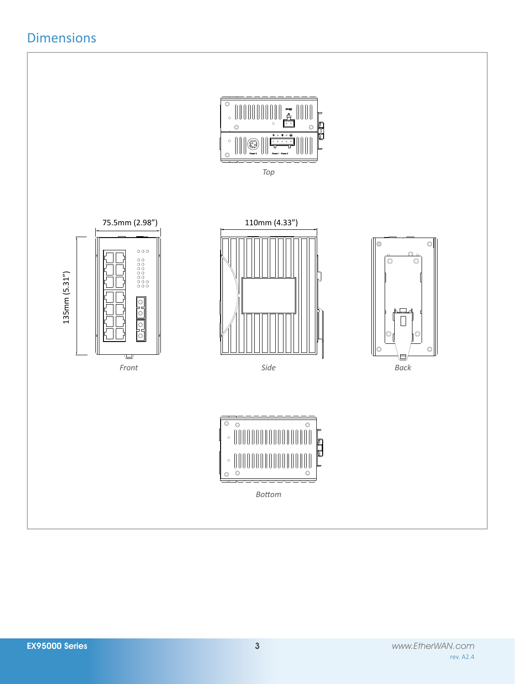# Dimensions